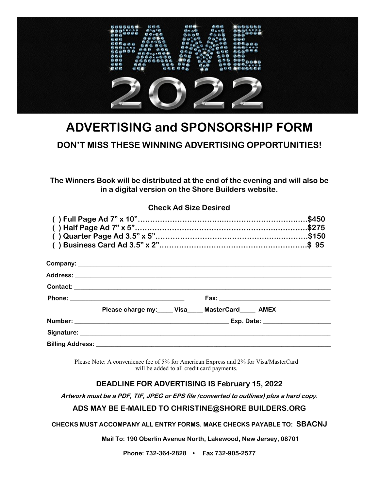

# **ADVERTISING and SPONSORSHIP FORM**

# **DON'T MISS THESE WINNING ADVERTISING OPPORTUNITIES!**

**The Winners Book will be distributed at the end of the evening and will also be in a digital version on the Shore Builders website.**

#### **Check Ad Size Desired**

| Please charge my: Visa MasterCard AMEX |  |
|----------------------------------------|--|
|                                        |  |
|                                        |  |
|                                        |  |

Please Note: A convenience fee of 5% for American Express and 2% for Visa/MasterCard will be added to all credit card payments.

### **DEADLINE FOR ADVERTISING IS February 15, 2022**

**Artwork must be a PDF, TIF, JPEG or EPS file (converted to outlines) plus a hard copy.**

#### **ADS MAY BE E-MAILED TO CHRISTINE@SHORE BUILDERS.ORG**

#### **CHECKS MUST ACCOMPANY ALL ENTRY FORMS. MAKE CHECKS PAYABLE TO: SBACNJ**

**Mail To: 190 Oberlin Avenue North, Lakewood, New Jersey, 08701**

**Phone: 732-364-2828 • Fax 732-905-2577**